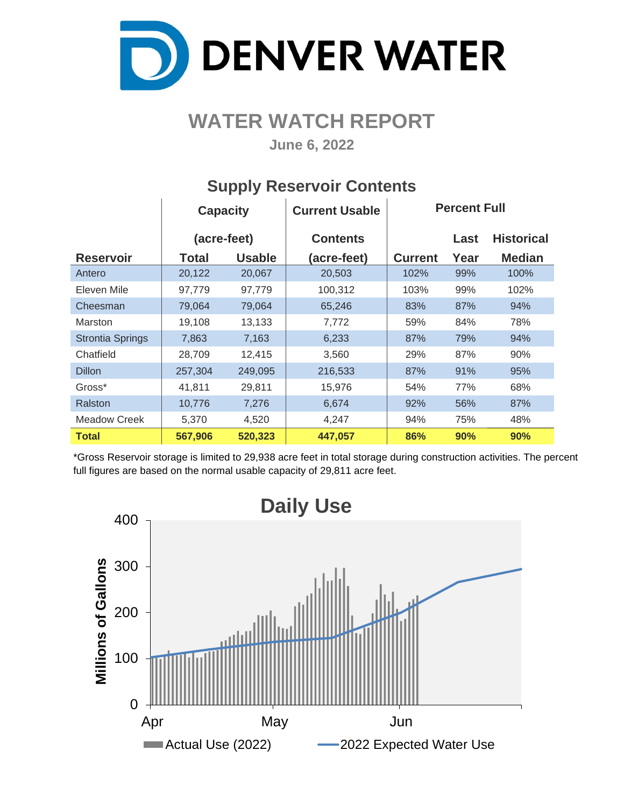

### **WATER WATCH REPORT**

**June 6, 2022**

|                         | <b>Capacity</b> |               | <b>Current Usable</b> | <b>Percent Full</b> |      |                   |  |  |  |
|-------------------------|-----------------|---------------|-----------------------|---------------------|------|-------------------|--|--|--|
|                         | (acre-feet)     |               | <b>Contents</b>       |                     | Last | <b>Historical</b> |  |  |  |
| <b>Reservoir</b>        | Total           | <b>Usable</b> | (acre-feet)           | <b>Current</b>      | Year | <b>Median</b>     |  |  |  |
| Antero                  | 20,122          | 20,067        | 20,503                | 102%                | 99%  | 100%              |  |  |  |
| Eleven Mile             | 97,779          | 97,779        | 100,312               | 103%                | 99%  | 102%              |  |  |  |
| Cheesman                | 79,064          | 79,064        | 65,246                | 83%                 | 87%  | 94%               |  |  |  |
| <b>Marston</b>          | 19,108          | 13,133        | 7,772                 | 59%                 | 84%  | 78%               |  |  |  |
| <b>Strontia Springs</b> | 7,863           | 7,163         | 6,233                 | 87%                 | 79%  | 94%               |  |  |  |
| Chatfield               | 28,709          | 12,415        | 3,560                 | 29%                 | 87%  | 90%               |  |  |  |
| <b>Dillon</b>           | 257,304         | 249,095       | 216,533               | 87%                 | 91%  | 95%               |  |  |  |
| Gross*                  | 41,811          | 29,811        | 15,976                | 54%                 | 77%  | 68%               |  |  |  |
| Ralston                 | 10,776          | 7,276         | 6,674                 | 92%                 | 56%  | 87%               |  |  |  |
| <b>Meadow Creek</b>     | 5,370           | 4,520         | 4,247                 | 94%                 | 75%  | 48%               |  |  |  |
| <b>Total</b>            | 567,906         | 520,323       | 447,057               | 86%                 | 90%  | 90%               |  |  |  |

#### **Supply Reservoir Contents**

\*Gross Reservoir storage is limited to 29,938 acre feet in total storage during construction activities. The percent full figures are based on the normal usable capacity of 29,811 acre feet.

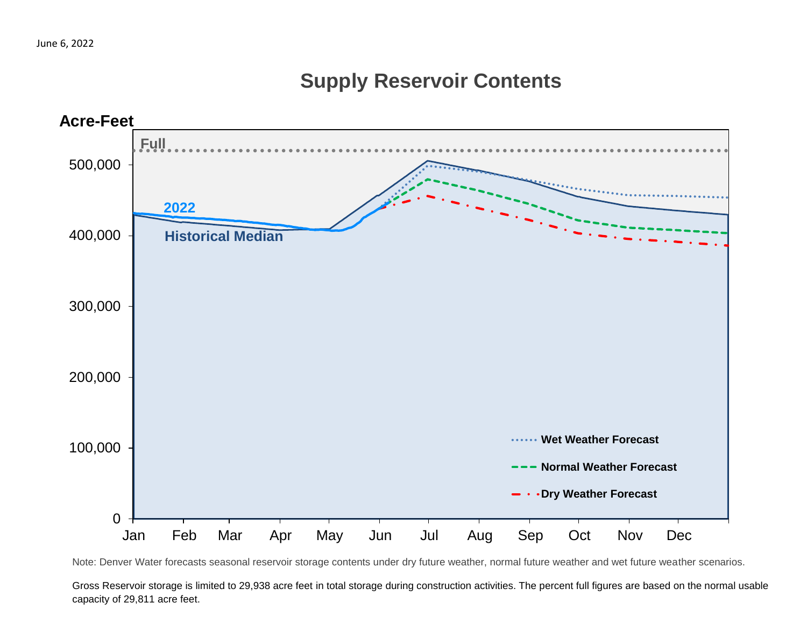#### **Supply Reservoir Contents**



Note: Denver Water forecasts seasonal reservoir storage contents under dry future weather, normal future weather and wet future weather scenarios.

Gross Reservoir storage is limited to 29,938 acre feet in total storage during construction activities. The percent full figures are based on the normal usable capacity of 29,811 acre feet.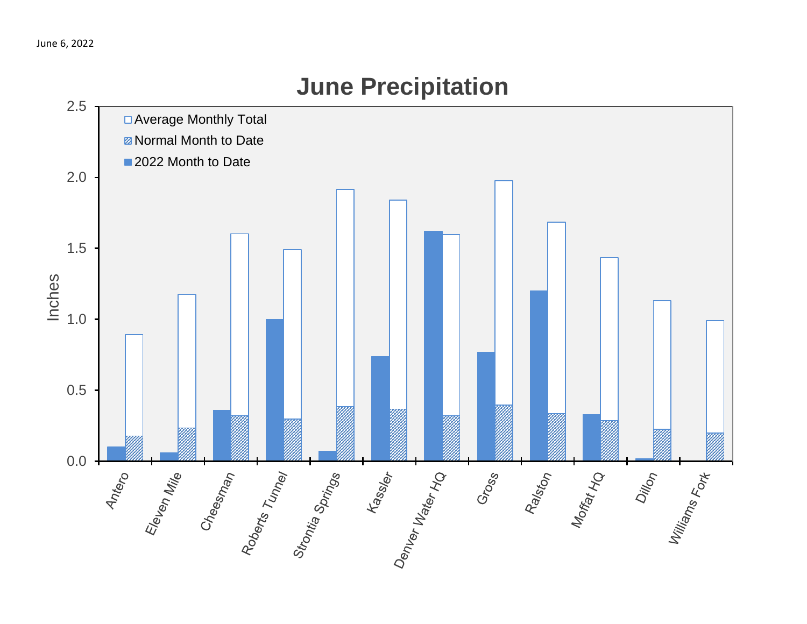# 2.5 □ Average Monthly Total **Z** Normal Month to Date ■2022 Month to Date 2.0 1.5 Inches 1.0 0.5 Ss Marian Demonds Marian Per 0.0 Eleven Mile<br>Cheesinan Ennan Roberts Tunnel Raliston<br>Morfat Ho Dillon<br>Villiams<br><sup>Terns Fort</sup> Gross

## **June Precipitation**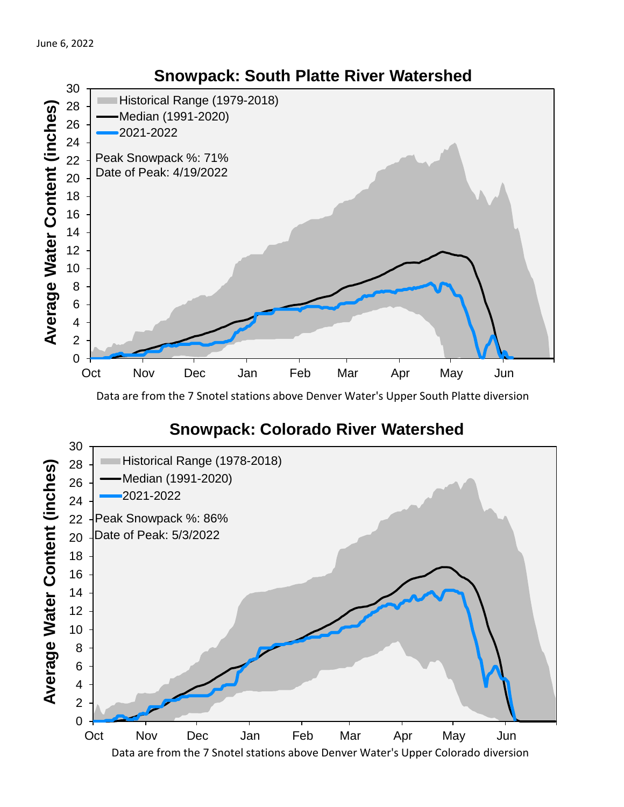

Data are from the 7 Snotel stations above Denver Water's Upper South Platte diversion

#### **Snowpack: Colorado River Watershed**



#### **Snowpack: South Platte River Watershed**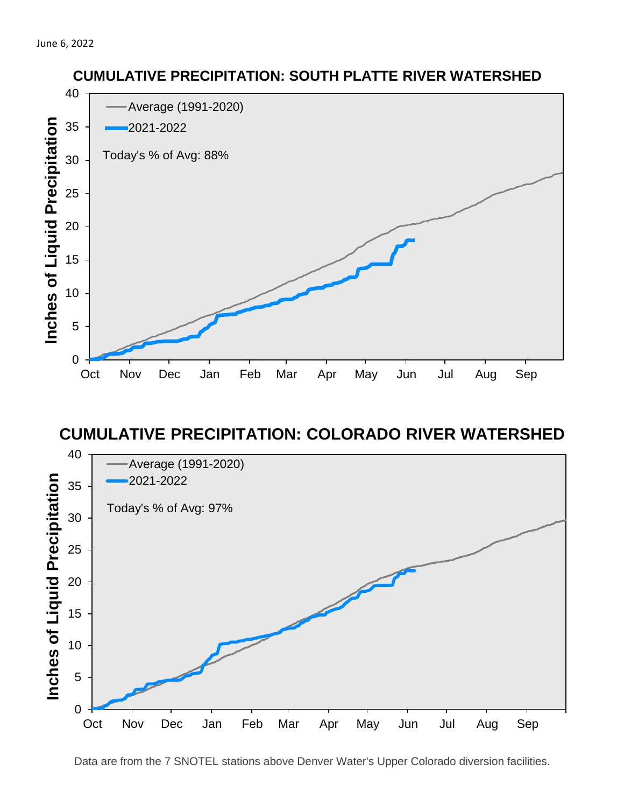

#### **CUMULATIVE PRECIPITATION: COLORADO RIVER WATERSHED**



Data are from the 7 SNOTEL stations above Denver Water's Upper Colorado diversion facilities.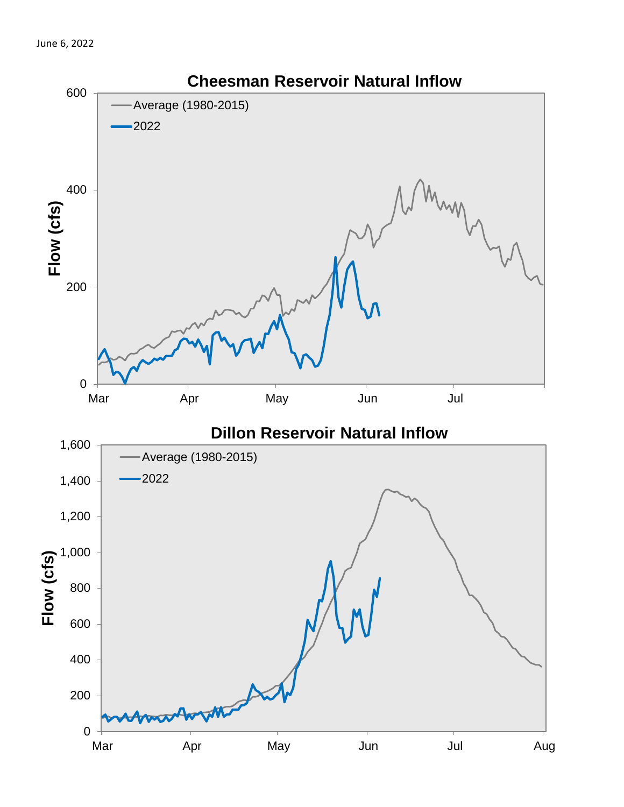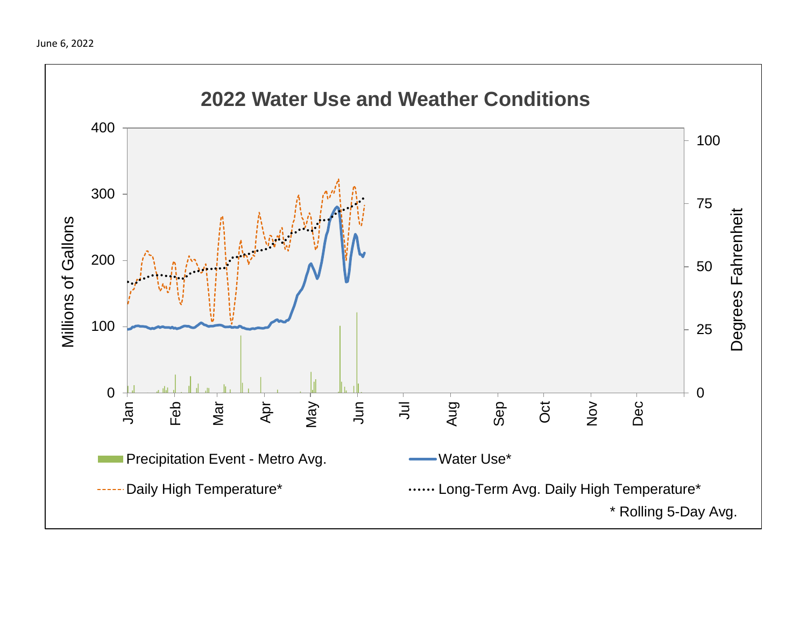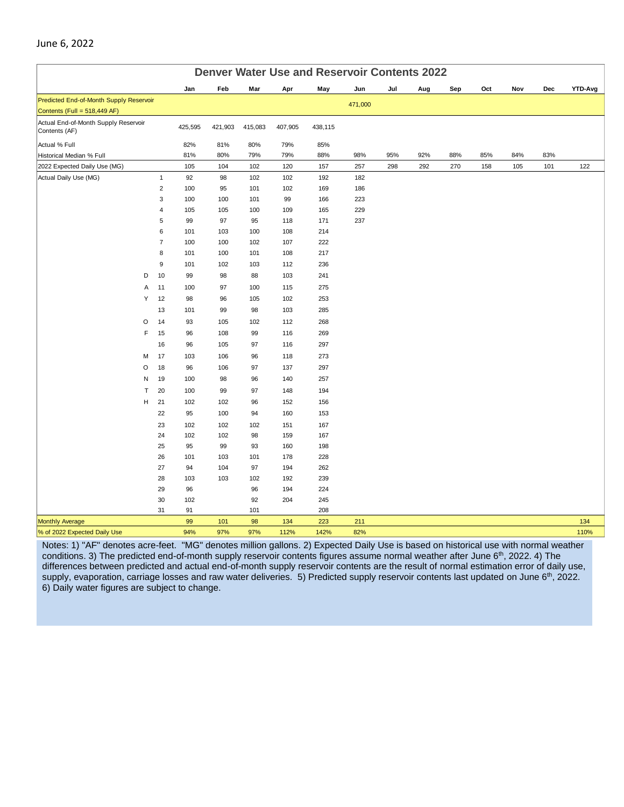| <b>Denver Water Use and Reservoir Contents 2022</b>   |                     |            |            |            |            |            |         |     |     |     |     |     |     |                |
|-------------------------------------------------------|---------------------|------------|------------|------------|------------|------------|---------|-----|-----|-----|-----|-----|-----|----------------|
|                                                       |                     | Jan        | Feb        | Mar        | Apr        | May        | Jun     | Jul | Aug | Sep | Oct | Nov | Dec | <b>YTD-Avg</b> |
| Predicted End-of-Month Supply Reservoir               |                     |            |            |            |            |            | 471,000 |     |     |     |     |     |     |                |
| Contents (Full = $518,449$ AF)                        |                     |            |            |            |            |            |         |     |     |     |     |     |     |                |
| Actual End-of-Month Supply Reservoir<br>Contents (AF) |                     | 425,595    | 421,903    | 415,083    | 407,905    | 438,115    |         |     |     |     |     |     |     |                |
| Actual % Full                                         |                     | 82%        | 81%        | 80%        | 79%        | 85%        |         |     |     |     |     |     |     |                |
| Historical Median % Full                              |                     | 81%        | 80%        | 79%        | 79%        | 88%        | 98%     | 95% | 92% | 88% | 85% | 84% | 83% |                |
| 2022 Expected Daily Use (MG)                          |                     | 105        | 104        | 102        | 120        | 157        | 257     | 298 | 292 | 270 | 158 | 105 | 101 | 122            |
| Actual Daily Use (MG)                                 | $\mathbf{1}$        | 92         | 98         | 102        | 102        | 192        | 182     |     |     |     |     |     |     |                |
|                                                       | $\overline{c}$      | 100        | 95         | 101        | 102        | 169        | 186     |     |     |     |     |     |     |                |
|                                                       | 3                   | 100        | 100        | 101        | 99         | 166        | 223     |     |     |     |     |     |     |                |
|                                                       | 4                   | 105        | 105        | 100        | 109        | 165        | 229     |     |     |     |     |     |     |                |
|                                                       | 5                   | 99         | 97         | 95         | 118        | 171        | 237     |     |     |     |     |     |     |                |
|                                                       | 6<br>$\overline{7}$ | 101<br>100 | 103<br>100 | 100<br>102 | 108<br>107 | 214<br>222 |         |     |     |     |     |     |     |                |
|                                                       | 8                   | 101        | 100        | 101        | 108        | 217        |         |     |     |     |     |     |     |                |
|                                                       | 9                   | 101        | 102        | 103        | 112        | 236        |         |     |     |     |     |     |     |                |
| D                                                     | 10                  | 99         | 98         | 88         | 103        | 241        |         |     |     |     |     |     |     |                |
| Α                                                     | 11                  | 100        | 97         | 100        | 115        | 275        |         |     |     |     |     |     |     |                |
| Υ                                                     | 12                  | 98         | 96         | 105        | 102        | 253        |         |     |     |     |     |     |     |                |
|                                                       | 13                  | 101        | 99         | 98         | 103        | 285        |         |     |     |     |     |     |     |                |
| O                                                     | 14                  | 93         | 105        | 102        | 112        | 268        |         |     |     |     |     |     |     |                |
| F                                                     | 15                  | 96         | 108        | 99         | 116        | 269        |         |     |     |     |     |     |     |                |
|                                                       | 16                  | 96         | 105        | 97         | 116        | 297        |         |     |     |     |     |     |     |                |
| М                                                     | 17                  | 103        | 106        | 96         | 118        | 273        |         |     |     |     |     |     |     |                |
| O                                                     | 18                  | 96         | 106        | 97         | 137        | 297        |         |     |     |     |     |     |     |                |
| N                                                     | 19                  | 100        | 98         | 96         | 140        | 257        |         |     |     |     |     |     |     |                |
| T                                                     | 20                  | 100        | 99         | 97         | 148        | 194        |         |     |     |     |     |     |     |                |
| н                                                     | 21                  | 102        | 102        | 96         | 152        | 156        |         |     |     |     |     |     |     |                |
|                                                       | 22                  | 95         | 100        | 94         | 160        | 153        |         |     |     |     |     |     |     |                |
|                                                       | 23                  | 102        | 102        | 102        | 151        | 167        |         |     |     |     |     |     |     |                |
|                                                       | 24                  | 102        | 102        | 98         | 159        | 167        |         |     |     |     |     |     |     |                |
|                                                       | 25                  | 95         | 99         | 93         | 160        | 198        |         |     |     |     |     |     |     |                |
|                                                       | 26                  | 101        | 103        | 101        | 178        | 228        |         |     |     |     |     |     |     |                |
|                                                       | 27                  | 94         | 104        | 97         | 194        | 262        |         |     |     |     |     |     |     |                |
|                                                       | 28                  | 103        | 103        | 102        | 192        | 239        |         |     |     |     |     |     |     |                |
|                                                       | 29                  | 96         |            | 96         | 194        | 224        |         |     |     |     |     |     |     |                |
|                                                       | 30                  | 102        |            | 92         | 204        | 245        |         |     |     |     |     |     |     |                |
|                                                       | 31                  | 91         |            | 101        |            | 208        |         |     |     |     |     |     |     |                |
| <b>Monthly Average</b>                                |                     | 99         | 101        | 98         | 134        | 223        | 211     |     |     |     |     |     |     | 134            |
| % of 2022 Expected Daily Use                          |                     | 94%        | 97%        | 97%        | 112%       | 142%       | 82%     |     |     |     |     |     |     | 110%           |

#### Notes: 1) "AF" denotes acre-feet. "MG" denotes million gallons. 2) Expected Daily Use is based on historical use with normal weather conditions. 3) The predicted end-of-month supply reservoir contents figures assume normal weather after June 6<sup>th</sup>, 2022. 4) The differences between predicted and actual end-of-month supply reservoir contents are the result of normal estimation error of daily use, supply, evaporation, carriage losses and raw water deliveries. 5) Predicted supply reservoir contents last updated on June 6<sup>th</sup>, 2022. 6) Daily water figures are subject to change.